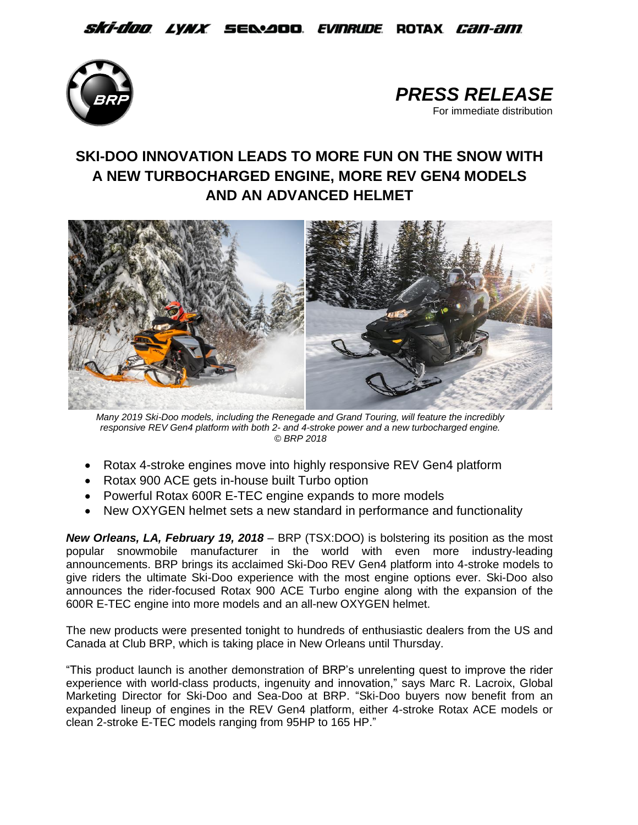*Ski-doo lynx s*ed:400 *Evinrude* Rotax *can-am* 





# **SKI-DOO INNOVATION LEADS TO MORE FUN ON THE SNOW WITH A NEW TURBOCHARGED ENGINE, MORE REV GEN4 MODELS AND AN ADVANCED HELMET**



*Many 2019 Ski-Doo models, including the Renegade and Grand Touring, will feature the incredibly responsive REV Gen4 platform with both 2- and 4-stroke power and a new turbocharged engine. © BRP 2018*

- Rotax 4-stroke engines move into highly responsive REV Gen4 platform
- Rotax 900 ACE gets in-house built Turbo option
- Powerful Rotax 600R E-TEC engine expands to more models
- New OXYGEN helmet sets a new standard in performance and functionality

*New Orleans, LA, February 19, 2018* – BRP (TSX:DOO) is bolstering its position as the most popular snowmobile manufacturer in the world with even more industry-leading announcements. BRP brings its acclaimed Ski-Doo REV Gen4 platform into 4-stroke models to give riders the ultimate Ski-Doo experience with the most engine options ever. Ski-Doo also announces the rider-focused Rotax 900 ACE Turbo engine along with the expansion of the 600R E-TEC engine into more models and an all-new OXYGEN helmet.

The new products were presented tonight to hundreds of enthusiastic dealers from the US and Canada at Club BRP, which is taking place in New Orleans until Thursday.

"This product launch is another demonstration of BRP's unrelenting quest to improve the rider experience with world-class products, ingenuity and innovation," says Marc R. Lacroix, Global Marketing Director for Ski-Doo and Sea-Doo at BRP. "Ski-Doo buyers now benefit from an expanded lineup of engines in the REV Gen4 platform, either 4-stroke Rotax ACE models or clean 2-stroke E-TEC models ranging from 95HP to 165 HP."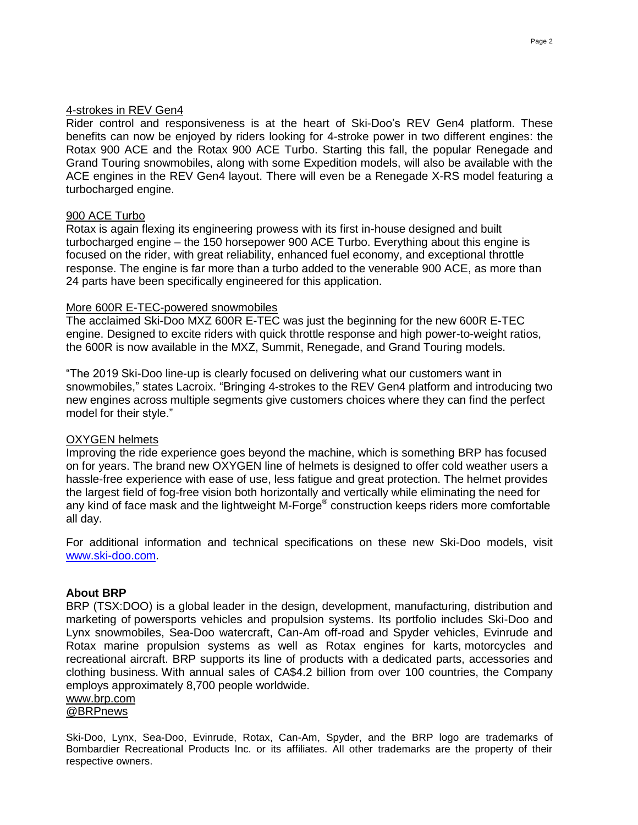Rider control and responsiveness is at the heart of Ski-Doo's REV Gen4 platform. These benefits can now be enjoyed by riders looking for 4-stroke power in two different engines: the Rotax 900 ACE and the Rotax 900 ACE Turbo. Starting this fall, the popular Renegade and Grand Touring snowmobiles, along with some Expedition models, will also be available with the ACE engines in the REV Gen4 layout. There will even be a Renegade X-RS model featuring a turbocharged engine.

## 900 ACE Turbo

Rotax is again flexing its engineering prowess with its first in-house designed and built turbocharged engine – the 150 horsepower 900 ACE Turbo. Everything about this engine is focused on the rider, with great reliability, enhanced fuel economy, and exceptional throttle response. The engine is far more than a turbo added to the venerable 900 ACE, as more than 24 parts have been specifically engineered for this application.

## More 600R E-TEC-powered snowmobiles

The acclaimed Ski-Doo MXZ 600R E-TEC was just the beginning for the new 600R E-TEC engine. Designed to excite riders with quick throttle response and high power-to-weight ratios, the 600R is now available in the MXZ, Summit, Renegade, and Grand Touring models.

"The 2019 Ski-Doo line-up is clearly focused on delivering what our customers want in snowmobiles," states Lacroix. "Bringing 4-strokes to the REV Gen4 platform and introducing two new engines across multiple segments give customers choices where they can find the perfect model for their style."

# OXYGEN helmets

Improving the ride experience goes beyond the machine, which is something BRP has focused on for years. The brand new OXYGEN line of helmets is designed to offer cold weather users a hassle-free experience with ease of use, less fatigue and great protection. The helmet provides the largest field of fog-free vision both horizontally and vertically while eliminating the need for any kind of face mask and the lightweight M-Forge® construction keeps riders more comfortable all day.

For additional information and technical specifications on these new Ski-Doo models, visit [www.ski-doo.com.](http://www.ski-doo.com/)

# **About BRP**

BRP (TSX:DOO) is a global leader in the design, development, manufacturing, distribution and marketing of powersports vehicles and propulsion systems. Its portfolio includes Ski-Doo and Lynx snowmobiles, Sea-Doo watercraft, Can-Am off-road and Spyder vehicles, Evinrude and Rotax marine propulsion systems as well as Rotax engines for karts, motorcycles and recreational aircraft. BRP supports its line of products with a dedicated parts, accessories and clothing business. With annual sales of CA\$4.2 billion from over 100 countries, the Company employs approximately 8,700 people worldwide.

## www.brp.com

[@BRPnews](https://twitter.com/BRPnews)

Ski-Doo, Lynx, Sea-Doo, Evinrude, Rotax, Can-Am, Spyder, and the BRP logo are trademarks of Bombardier Recreational Products Inc. or its affiliates. All other trademarks are the property of their respective owners.